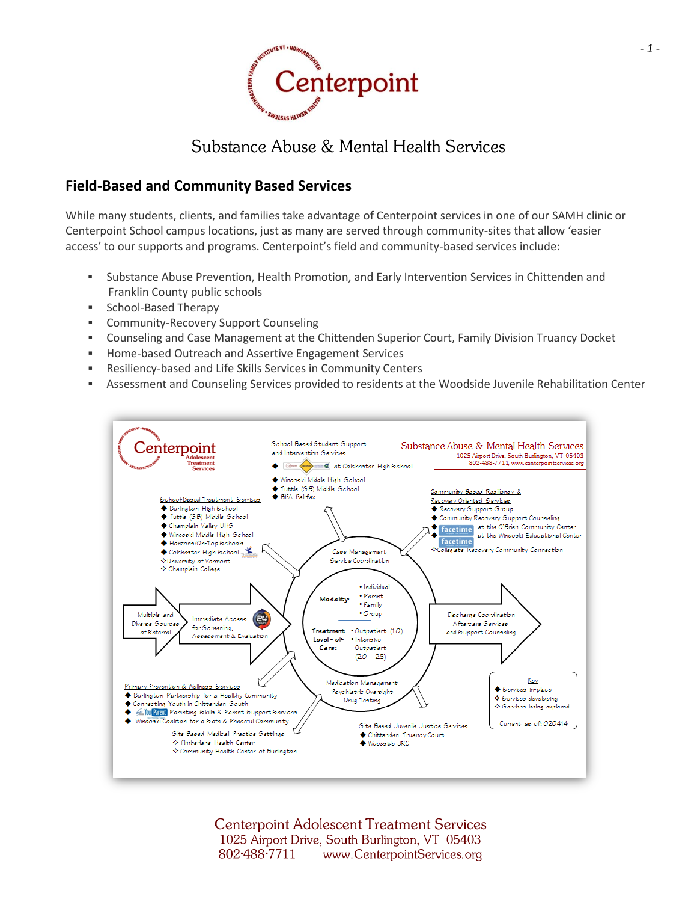

# Substance Abuse & Mental Health Services

### **Field-Based and Community Based Services**

While many students, clients, and families take advantage of Centerpoint services in one of our SAMH clinic or Centerpoint School campus locations, just as many are served through community-sites that allow 'easier access' to our supports and programs. Centerpoint's field and community-based services include:

- Substance Abuse Prevention, Health Promotion, and Early Intervention Services in Chittenden and Franklin County public schools
- **School-Based Therapy**
- **EXECOMMUNITY-Recovery Support Counseling**
- Counseling and Case Management at the Chittenden Superior Court, Family Division Truancy Docket
- Home-based Outreach and Assertive Engagement Services
- Resiliency-based and Life Skills Services in Community Centers
- Assessment and Counseling Services provided to residents at the Woodside Juvenile Rehabilitation Center

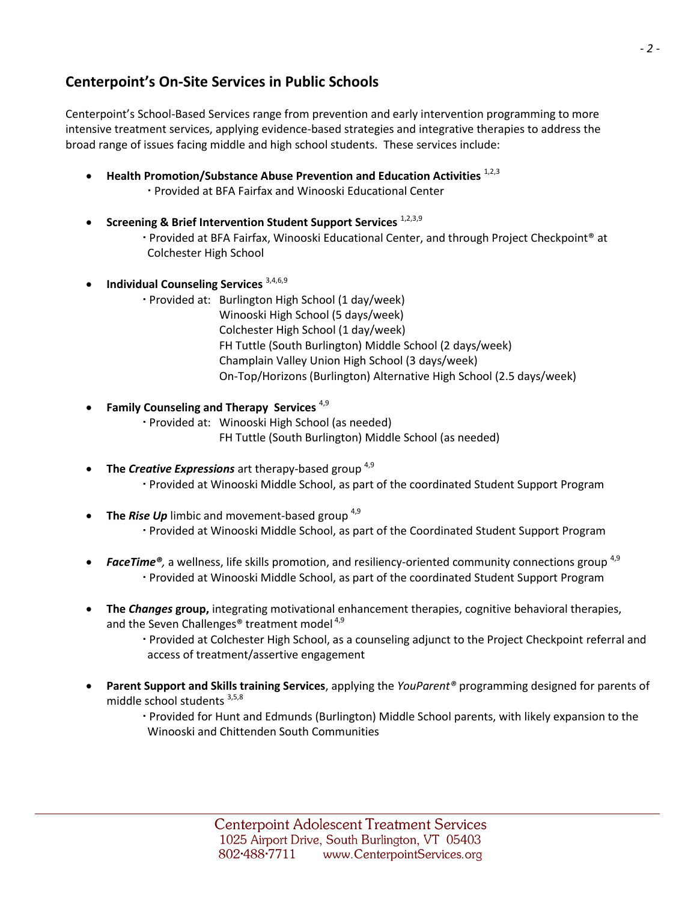## **Centerpoint's On-Site Services in Public Schools**

Centerpoint's School-Based Services range from prevention and early intervention programming to more intensive treatment services, applying evidence-based strategies and integrative therapies to address the broad range of issues facing middle and high school students. These services include:

- **•** Health Promotion/Substance Abuse Prevention and Education Activities  $1,2,3$ Provided at BFA Fairfax and Winooski Educational Center
- **Screening & Brief Intervention Student Support Services** 1,2,3,9 Provided at BFA Fairfax, Winooski Educational Center, and through Project Checkpoint® at Colchester High School
- **•** Individual Counseling Services <sup>3,4,6,9</sup>
	- Provided at: Burlington High School (1 day/week) Winooski High School (5 days/week) Colchester High School (1 day/week) FH Tuttle (South Burlington) Middle School (2 days/week) Champlain Valley Union High School (3 days/week) On-Top/Horizons (Burlington) Alternative High School (2.5 days/week)
	- **Family Counseling and Therapy Services** 4,9 Provided at: Winooski High School (as needed) FH Tuttle (South Burlington) Middle School (as needed)
- **The Creative Expressions** art therapy-based group<sup>4,9</sup> Provided at Winooski Middle School, as part of the coordinated Student Support Program
- The Rise Up limbic and movement-based group <sup>4,9</sup> Provided at Winooski Middle School, as part of the Coordinated Student Support Program
- **FaceTime**<sup>®</sup>, a wellness, life skills promotion, and resiliency-oriented community connections group<sup>4,9</sup> Provided at Winooski Middle School, as part of the coordinated Student Support Program
- **The** *Changes* **group,** integrating motivational enhancement therapies, cognitive behavioral therapies, and the Seven Challenges<sup>®</sup> treatment model<sup>4,9</sup>
	- Provided at Colchester High School, as a counseling adjunct to the Project Checkpoint referral and access of treatment/assertive engagement
- **Parent Support and Skills training Services**, applying the *YouParent®* programming designed for parents of middle school students 3,5,8
	- Provided for Hunt and Edmunds (Burlington) Middle School parents, with likely expansion to the Winooski and Chittenden South Communities